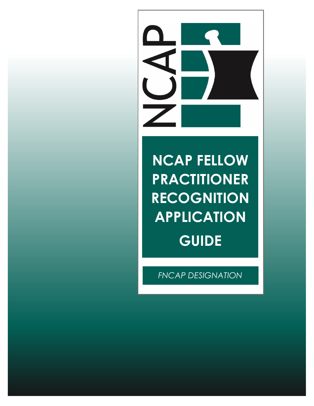

# **NCAP FELLOW PRACTITIONER RECOGNITION APPLICATION GUIDE**

*FNCAP DESIGNATION*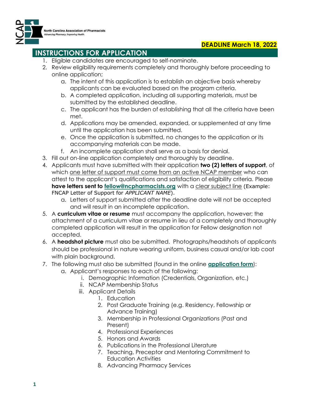



## **INSTRUCTIONS FOR APPLICATION**

- 1. Eligible candidates are encouraged to self-nominate.
- 2. Review eligibility requirements completely and thoroughly before proceeding to online application;
	- a. The intent of this application is to establish an objective basis whereby applicants can be evaluated based on the program criteria.
	- b. A completed application, including all supporting materials, must be submitted by the established deadline.
	- c. The applicant has the burden of establishing that all the criteria have been met.
	- d. Applications may be amended, expanded, or supplemented at any time until the application has been submitted.
	- e. Once the application is submitted, no changes to the application or its accompanying materials can be made.
	- f. An incomplete application shall serve as a basis for denial.
- 3. Fill out on-line application completely and thoroughly by deadline.
- 4. Applicants must have submitted with their application **two (2) letters of support**, of which one letter of support must come from an active NCAP member who can attest to the applicant's qualifications and satisfaction of eligibility criteria. Please **have letters sent to [fellow@ncpharmacists.org](mailto:fellow@ncpharmacists.org)** with a clear subject line (Example: FNCAP Letter of Support for *APPLICANT NAME*).
	- a. Letters of support submitted after the deadline date will not be accepted and will result in an incomplete application.
- 5. A **curriculum vitae or resume** must accompany the application, however; the attachment of a curriculum vitae or resume in lieu of a completely and thoroughly completed application will result in the application for Fellow designation not accepted.
- 6. A **headshot picture** must also be submitted. Photographs/headshots of applicants should be professional in nature wearing uniform, business casual and/or lab coat with plain background.
- 7. The following must also be submitted (found in the online **[application form](https://ncap.memberclicks.net/fncap-application)**): a. Applicant's responses to each of the following:
	- i. Demographic Information (Credentials, Organization, etc.)
	- ii. NCAP Membership Status
	- iii. Applicant Details
		- 1. Education
		- 2. Post Graduate Training (e.g. Residency, Fellowship or Advance Training)
		- 3. Membership in Professional Organizations (Past and Present)
		- 4. Professional Experiences
		- 5. Honors and Awards
		- 6. Publications in the Professional Literature
		- 7. Teaching, Preceptor and Mentoring Commitment to Education Activities
		- 8. Advancing Pharmacy Services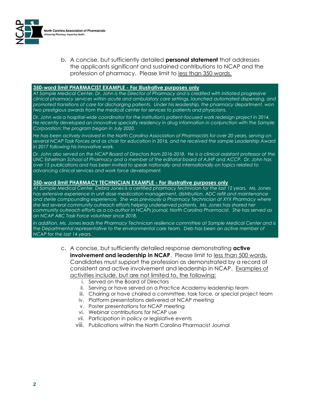

b. A concise, but sufficiently detailed **personal statement** that addresses the applicants significant and sustained contributions to NCAP and the profession of pharmacy. Please limit to less than 350 words.

#### **350-word limit PHARMACIST EXAMPLE - For illustrative purposes only**

*At Sample Medical Center, Dr. John is the Director of Pharmacy and is credited with initiated progressive clinical pharmacy services within acute and ambulatory care settings, launched automated dispensing, and promoted transitions of care for discharging patients. Under his leadership, the pharmacy department, won two prestigious awards from the medical center for services to patients and physicians.*

*Dr. John was a hospital-wide coordinator for the institution's patient-focused work redesign project in 2014. He recently developed an innovative specialty residency in drug information in conjunction with the Sample Corporation; the program began in July 2020.*

*He has been actively involved in the North Carolina Association of Pharmacists for over 20 years, serving on several NCAP Task Forces and as chair for education in 2016, and he received the sample Leadership Award in 2017 following his innovative work.*

*Dr. John also served on the NCAP Board of Directors from 2016-2018. He is a clinical assistant professor at the UNC Eshelman School of Pharmacy and a member of the editorial board of AJHP and ACCP. Dr. John has over 15 publications and has been invited to speak nationally and internationally on topics related to advancing clinical services and work force development.*

#### **350-word limit PHARMACY TECHNICIAN EXAMPLE - For illustrative purposes only**

*At Sample Medical Center, Debra Jones is a certified pharmacy technician for the last 12 years. Ms. Jones has extensive experience in unit dose medication management, distribution, ADC refill and maintenance and sterile compounding experience. She was previously a Pharmacy Technician at XYX Pharmacy where she led several community outreach efforts helping underserved patients. Ms. Jones has shared her community outreach efforts as a co-author in NCAPs journal, North Carolina Pharmacist. She has served as an NCAP ABC Task Force volunteer since 2018.* 

*In addition, Ms. Jones leads the Pharmacy Technician resilience committee at Sample Medical Center and is the Departmental representative to the environmental care team. Deb has been an active member of NCAP for the last 14 years.* 

- c. A concise, but sufficiently detailed response demonstrating **active involvement and leadership in NCAP**. Please limit to less than 500 words. Candidates must support the profession as demonstrated by a record of consistent and active involvement and leadership in NCAP. Examples of activities include, but are not limited to, the following:
	- i. Served on the Board of Directors
	- ii. Serving or have served on a Practice Academy leadership team
	- iii. Chairing or have chaired a committee, task force, or special project team
	- iv. Platform presentations delivered at NCAP meeting
	- v. Poster presentations for NCAP meeting
	- vi. Webinar contributions for NCAP use
	- vii. Participation in policy or legislative events
	- viii. Publications within the North Carolina Pharmacist Journal